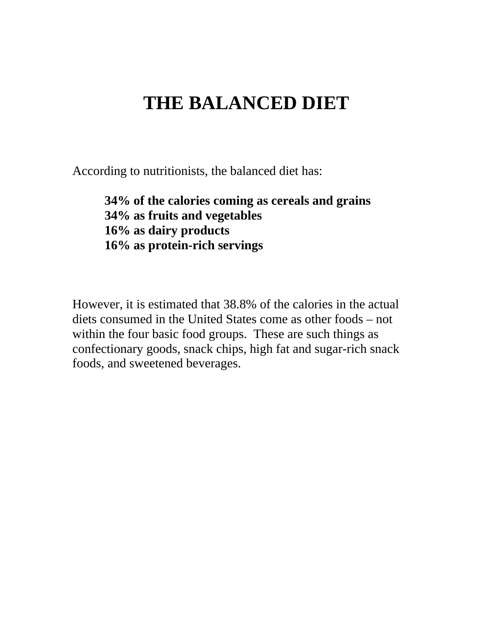# **THE BALANCED DIET**

According to nutritionists, the balanced diet has:

**34% of the calories coming as cereals and grains 34% as fruits and vegetables 16% as dairy products 16% as protein-rich servings** 

However, it is estimated that 38.8% of the calories in the actual diets consumed in the United States come as other foods – not within the four basic food groups. These are such things as confectionary goods, snack chips, high fat and sugar-rich snack foods, and sweetened beverages.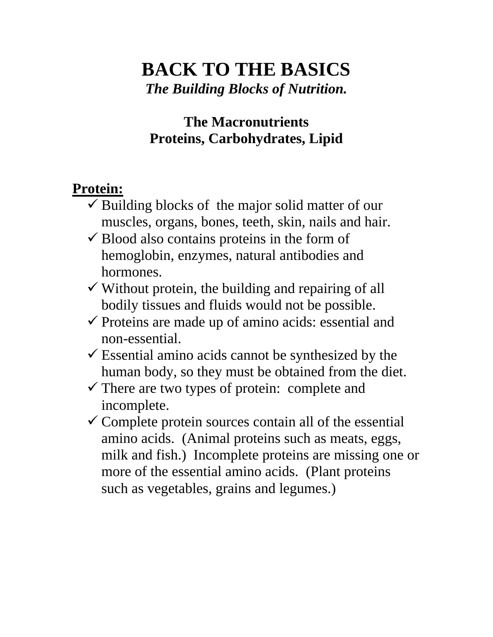# **BACK TO THE BASICS**  *The Building Blocks of Nutrition.*

### **The Macronutrients Proteins, Carbohydrates, Lipid**

### **Protein:**

- $\checkmark$  Building blocks of the major solid matter of our muscles, organs, bones, teeth, skin, nails and hair.
- $\checkmark$  Blood also contains proteins in the form of hemoglobin, enzymes, natural antibodies and hormones.
- $\checkmark$  Without protein, the building and repairing of all bodily tissues and fluids would not be possible.
- $\checkmark$  Proteins are made up of amino acids: essential and non-essential.
- $\checkmark$  Essential amino acids cannot be synthesized by the human body, so they must be obtained from the diet.
- $\checkmark$  There are two types of protein: complete and incomplete.
- $\checkmark$  Complete protein sources contain all of the essential amino acids. (Animal proteins such as meats, eggs, milk and fish.) Incomplete proteins are missing one or more of the essential amino acids. (Plant proteins such as vegetables, grains and legumes.)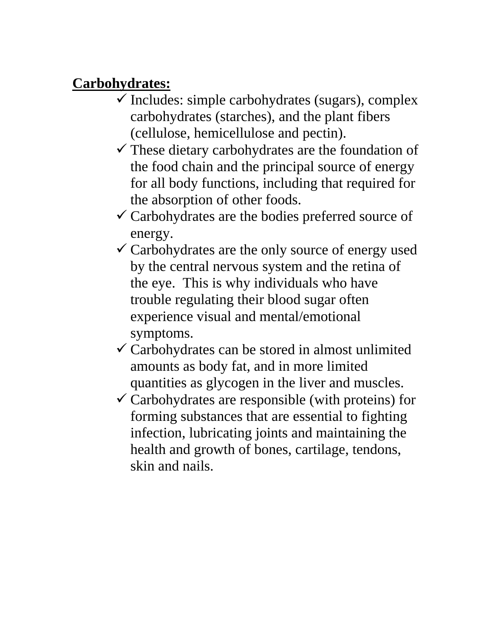#### **Carbohydrates:**

- $\checkmark$  Includes: simple carbohydrates (sugars), complex carbohydrates (starches), and the plant fibers (cellulose, hemicellulose and pectin).
- $\checkmark$  These dietary carbohydrates are the foundation of the food chain and the principal source of energy for all body functions, including that required for the absorption of other foods.
- $\checkmark$  Carbohydrates are the bodies preferred source of energy.
- $\checkmark$  Carbohydrates are the only source of energy used by the central nervous system and the retina of the eye. This is why individuals who have trouble regulating their blood sugar often experience visual and mental/emotional symptoms.
- $\checkmark$  Carbohydrates can be stored in almost unlimited amounts as body fat, and in more limited quantities as glycogen in the liver and muscles.
- $\checkmark$  Carbohydrates are responsible (with proteins) for forming substances that are essential to fighting infection, lubricating joints and maintaining the health and growth of bones, cartilage, tendons, skin and nails.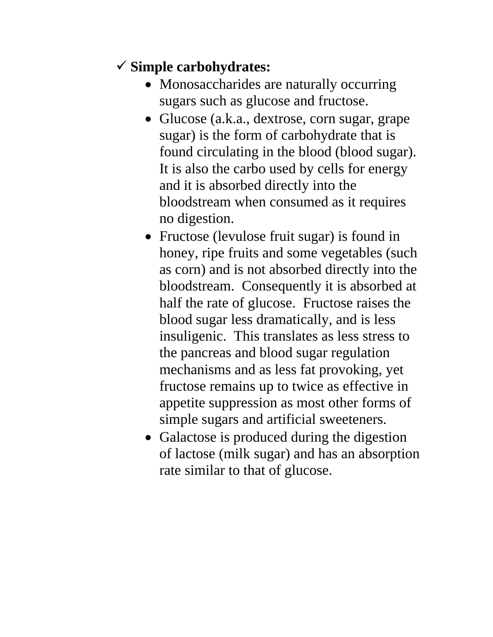## 9 **Simple carbohydrates:**

- Monosaccharides are naturally occurring sugars such as glucose and fructose.
- Glucose (a.k.a., dextrose, corn sugar, grape sugar) is the form of carbohydrate that is found circulating in the blood (blood sugar). It is also the carbo used by cells for energy and it is absorbed directly into the bloodstream when consumed as it requires no digestion.
- Fructose (levulose fruit sugar) is found in honey, ripe fruits and some vegetables (such as corn) and is not absorbed directly into the bloodstream. Consequently it is absorbed at half the rate of glucose. Fructose raises the blood sugar less dramatically, and is less insuligenic. This translates as less stress to the pancreas and blood sugar regulation mechanisms and as less fat provoking, yet fructose remains up to twice as effective in appetite suppression as most other forms of simple sugars and artificial sweeteners.
- Galactose is produced during the digestion of lactose (milk sugar) and has an absorption rate similar to that of glucose.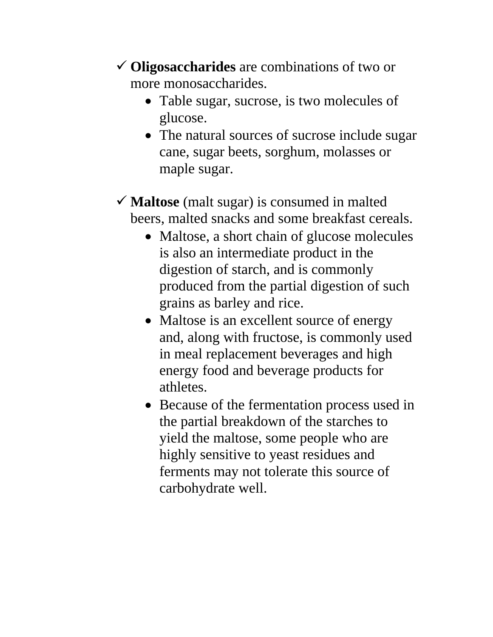- 9 **Oligosaccharides** are combinations of two or more monosaccharides.
	- Table sugar, sucrose, is two molecules of glucose.
	- The natural sources of sucrose include sugar cane, sugar beets, sorghum, molasses or maple sugar.
- $\checkmark$  **Maltose** (malt sugar) is consumed in malted beers, malted snacks and some breakfast cereals.
	- Maltose, a short chain of glucose molecules is also an intermediate product in the digestion of starch, and is commonly produced from the partial digestion of such grains as barley and rice.
	- Maltose is an excellent source of energy and, along with fructose, is commonly used in meal replacement beverages and high energy food and beverage products for athletes.
	- Because of the fermentation process used in the partial breakdown of the starches to yield the maltose, some people who are highly sensitive to yeast residues and ferments may not tolerate this source of carbohydrate well.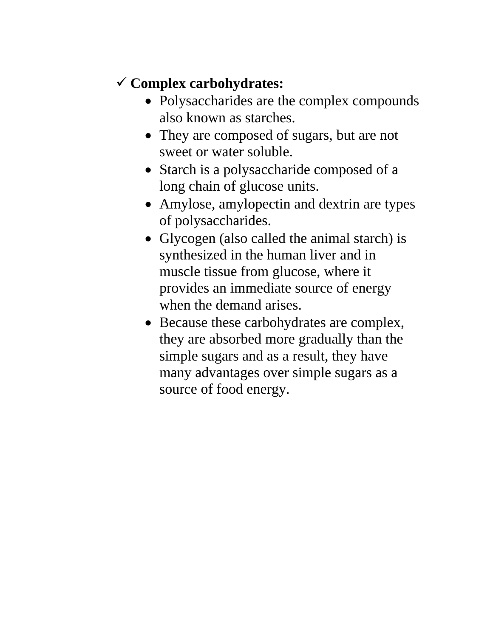## 9 **Complex carbohydrates:**

- Polysaccharides are the complex compounds also known as starches.
- They are composed of sugars, but are not sweet or water soluble.
- Starch is a polysaccharide composed of a long chain of glucose units.
- Amylose, amylopectin and dextrin are types of polysaccharides.
- Glycogen (also called the animal starch) is synthesized in the human liver and in muscle tissue from glucose, where it provides an immediate source of energy when the demand arises.
- Because these carbohydrates are complex, they are absorbed more gradually than the simple sugars and as a result, they have many advantages over simple sugars as a source of food energy.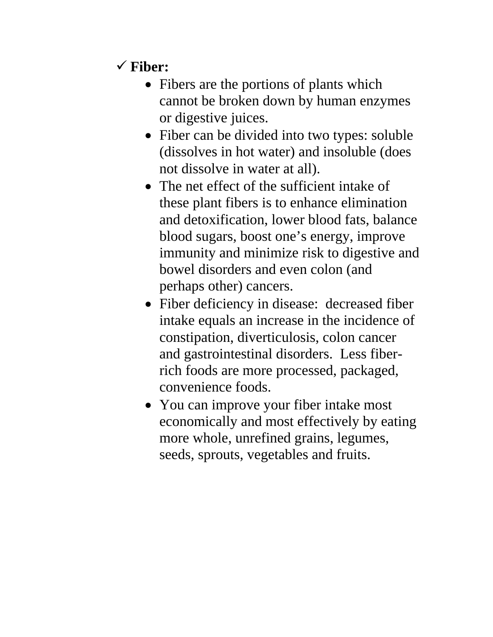# 9 **Fiber:**

- Fibers are the portions of plants which cannot be broken down by human enzymes or digestive juices.
- Fiber can be divided into two types: soluble (dissolves in hot water) and insoluble (does not dissolve in water at all).
- The net effect of the sufficient intake of these plant fibers is to enhance elimination and detoxification, lower blood fats, balance blood sugars, boost one's energy, improve immunity and minimize risk to digestive and bowel disorders and even colon (and perhaps other) cancers.
- Fiber deficiency in disease: decreased fiber intake equals an increase in the incidence of constipation, diverticulosis, colon cancer and gastrointestinal disorders. Less fiberrich foods are more processed, packaged, convenience foods.
- You can improve your fiber intake most economically and most effectively by eating more whole, unrefined grains, legumes, seeds, sprouts, vegetables and fruits.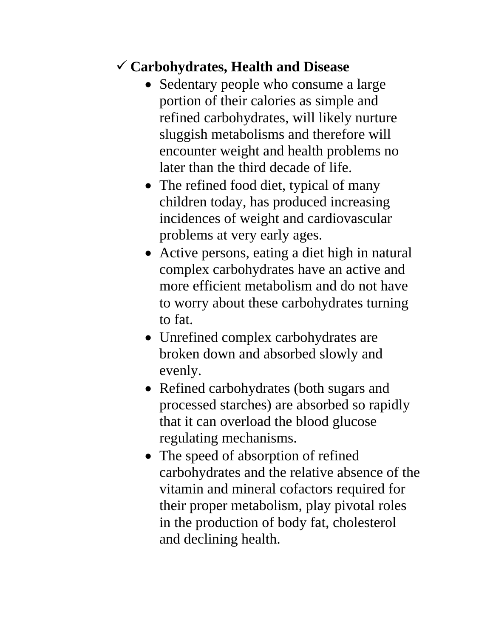### 9 **Carbohydrates, Health and Disease**

- Sedentary people who consume a large portion of their calories as simple and refined carbohydrates, will likely nurture sluggish metabolisms and therefore will encounter weight and health problems no later than the third decade of life.
- The refined food diet, typical of many children today, has produced increasing incidences of weight and cardiovascular problems at very early ages.
- Active persons, eating a diet high in natural complex carbohydrates have an active and more efficient metabolism and do not have to worry about these carbohydrates turning to fat.
- Unrefined complex carbohydrates are broken down and absorbed slowly and evenly.
- Refined carbohydrates (both sugars and processed starches) are absorbed so rapidly that it can overload the blood glucose regulating mechanisms.
- The speed of absorption of refined carbohydrates and the relative absence of the vitamin and mineral cofactors required for their proper metabolism, play pivotal roles in the production of body fat, cholesterol and declining health.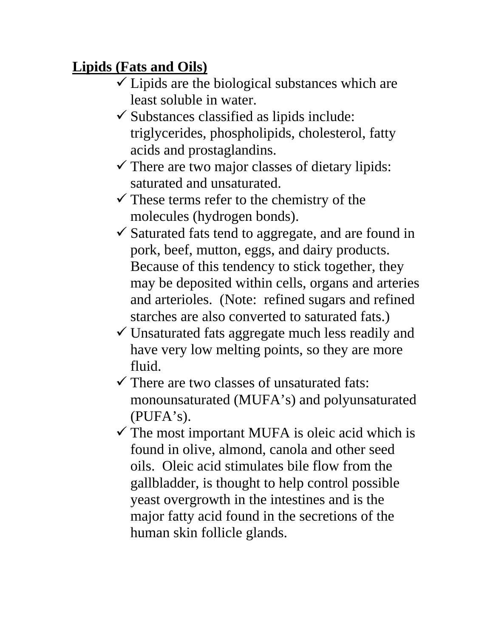# **Lipids (Fats and Oils)**

- $\checkmark$  Lipids are the biological substances which are least soluble in water.
- $\checkmark$  Substances classified as lipids include: triglycerides, phospholipids, cholesterol, fatty acids and prostaglandins.
- $\checkmark$  There are two major classes of dietary lipids: saturated and unsaturated.
- $\checkmark$  These terms refer to the chemistry of the molecules (hydrogen bonds).
- $\checkmark$  Saturated fats tend to aggregate, and are found in pork, beef, mutton, eggs, and dairy products. Because of this tendency to stick together, they may be deposited within cells, organs and arteries and arterioles. (Note: refined sugars and refined starches are also converted to saturated fats.)
- $\checkmark$  Unsaturated fats aggregate much less readily and have very low melting points, so they are more fluid.
- $\checkmark$  There are two classes of unsaturated fats: monounsaturated (MUFA's) and polyunsaturated (PUFA's).
- $\checkmark$  The most important MUFA is oleic acid which is found in olive, almond, canola and other seed oils. Oleic acid stimulates bile flow from the gallbladder, is thought to help control possible yeast overgrowth in the intestines and is the major fatty acid found in the secretions of the human skin follicle glands.